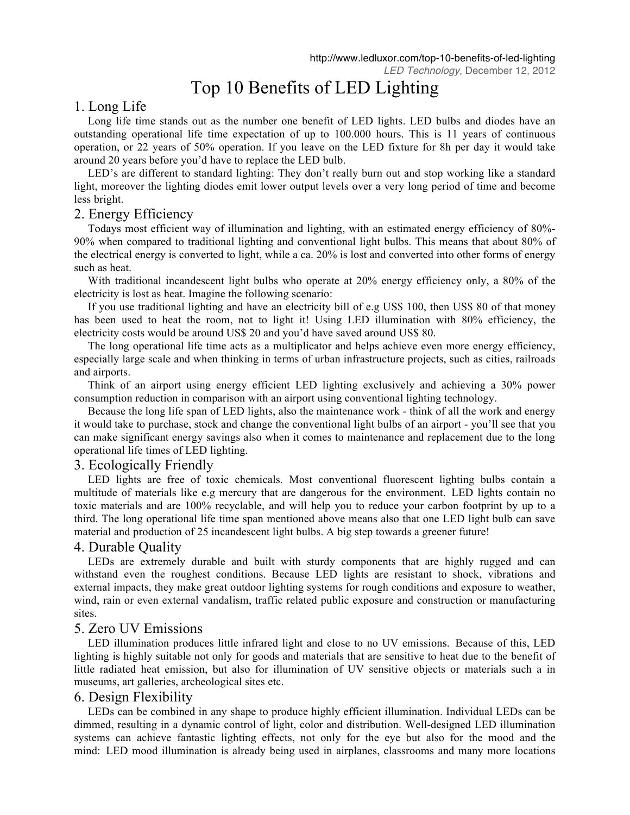# Top 10 Benefits of LED Lighting

# 1. Long Life

Long life time stands out as the number one benefit of LED lights. LED bulbs and diodes have an outstanding operational life time expectation of up to 100.000 hours. This is 11 years of continuous operation, or 22 years of 50% operation. If you leave on the LED fixture for 8h per day it would take around 20 years before you'd have to replace the LED bulb.

LED's are different to standard lighting: They don't really burn out and stop working like a standard light, moreover the lighting diodes emit lower output levels over a very long period of time and become less bright.

# 2. Energy Efficiency

Todays most efficient way of illumination and lighting, with an estimated energy efficiency of 80%- 90% when compared to traditional lighting and conventional light bulbs. This means that about 80% of the electrical energy is converted to light, while a ca. 20% is lost and converted into other forms of energy such as heat.

With traditional incandescent light bulbs who operate at 20% energy efficiency only, a 80% of the electricity is lost as heat. Imagine the following scenario:

If you use traditional lighting and have an electricity bill of e.g US\$ 100, then US\$ 80 of that money has been used to heat the room, not to light it! Using LED illumination with 80% efficiency, the electricity costs would be around US\$ 20 and you'd have saved around US\$ 80.

The long operational life time acts as a multiplicator and helps achieve even more energy efficiency, especially large scale and when thinking in terms of urban infrastructure projects, such as cities, railroads and airports.

Think of an airport using energy efficient LED lighting exclusively and achieving a 30% power consumption reduction in comparison with an airport using conventional lighting technology.

Because the long life span of LED lights, also the maintenance work - think of all the work and energy it would take to purchase, stock and change the conventional light bulbs of an airport - you'll see that you can make significant energy savings also when it comes to maintenance and replacement due to the long operational life times of LED lighting.

## 3. Ecologically Friendly

LED lights are free of toxic chemicals. Most conventional fluorescent lighting bulbs contain a multitude of materials like e.g mercury that are dangerous for the environment. LED lights contain no toxic materials and are 100% recyclable, and will help you to reduce your carbon footprint by up to a third. The long operational life time span mentioned above means also that one LED light bulb can save material and production of 25 incandescent light bulbs. A big step towards a greener future!

## 4. Durable Quality

LEDs are extremely durable and built with sturdy components that are highly rugged and can withstand even the roughest conditions. Because LED lights are resistant to shock, vibrations and external impacts, they make great outdoor lighting systems for rough conditions and exposure to weather, wind, rain or even external vandalism, traffic related public exposure and construction or manufacturing sites.

# 5. Zero UV Emissions

LED illumination produces little infrared light and close to no UV emissions. Because of this, LED lighting is highly suitable not only for goods and materials that are sensitive to heat due to the benefit of little radiated heat emission, but also for illumination of UV sensitive objects or materials such a in museums, art galleries, archeological sites etc.

# 6. Design Flexibility

LEDs can be combined in any shape to produce highly efficient illumination. Individual LEDs can be dimmed, resulting in a dynamic control of light, color and distribution. Well-designed LED illumination systems can achieve fantastic lighting effects, not only for the eye but also for the mood and the mind: LED mood illumination is already being used in airplanes, classrooms and many more locations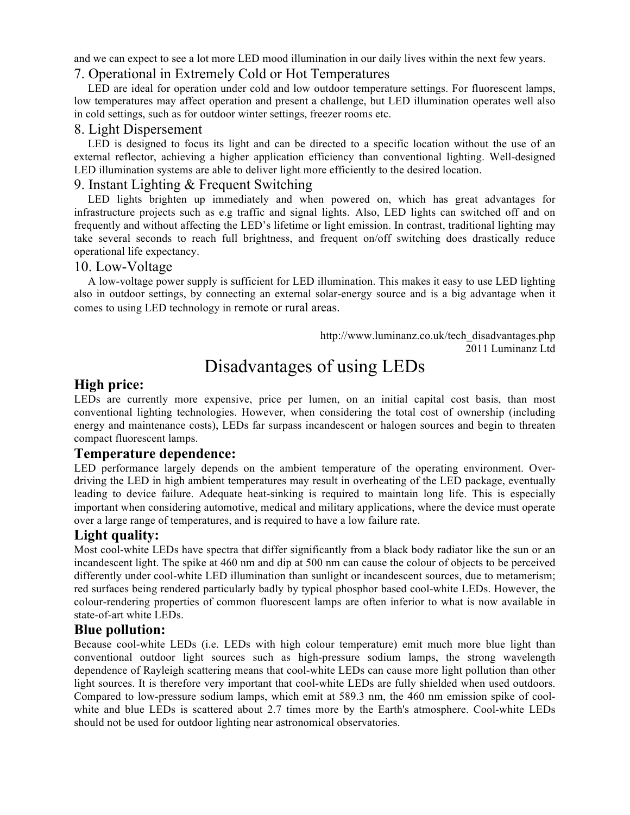and we can expect to see a lot more LED mood illumination in our daily lives within the next few years.

# 7. Operational in Extremely Cold or Hot Temperatures

LED are ideal for operation under cold and low outdoor temperature settings. For fluorescent lamps, low temperatures may affect operation and present a challenge, but LED illumination operates well also in cold settings, such as for outdoor winter settings, freezer rooms etc.

#### 8. Light Dispersement

LED is designed to focus its light and can be directed to a specific location without the use of an external reflector, achieving a higher application efficiency than conventional lighting. Well-designed LED illumination systems are able to deliver light more efficiently to the desired location.

# 9. Instant Lighting & Frequent Switching

LED lights brighten up immediately and when powered on, which has great advantages for infrastructure projects such as e.g traffic and signal lights. Also, LED lights can switched off and on frequently and without affecting the LED's lifetime or light emission. In contrast, traditional lighting may take several seconds to reach full brightness, and frequent on/off switching does drastically reduce operational life expectancy.

#### 10. Low-Voltage

A low-voltage power supply is sufficient for LED illumination. This makes it easy to use LED lighting also in outdoor settings, by connecting an external solar-energy source and is a big advantage when it comes to using LED technology in remote or rural areas.

> http://www.luminanz.co.uk/tech\_disadvantages.php 2011 Luminanz Ltd

# Disadvantages of using LEDs

# **High price:**

LEDs are currently more expensive, price per lumen, on an initial capital cost basis, than most conventional lighting technologies. However, when considering the total cost of ownership (including energy and maintenance costs), LEDs far surpass incandescent or halogen sources and begin to threaten compact fluorescent lamps.

## **Temperature dependence:**

LED performance largely depends on the ambient temperature of the operating environment. Overdriving the LED in high ambient temperatures may result in overheating of the LED package, eventually leading to device failure. Adequate heat-sinking is required to maintain long life. This is especially important when considering automotive, medical and military applications, where the device must operate over a large range of temperatures, and is required to have a low failure rate.

# **Light quality:**

Most cool-white LEDs have spectra that differ significantly from a black body radiator like the sun or an incandescent light. The spike at 460 nm and dip at 500 nm can cause the colour of objects to be perceived differently under cool-white LED illumination than sunlight or incandescent sources, due to metamerism; red surfaces being rendered particularly badly by typical phosphor based cool-white LEDs. However, the colour-rendering properties of common fluorescent lamps are often inferior to what is now available in state-of-art white LEDs.

# **Blue pollution:**

Because cool-white LEDs (i.e. LEDs with high colour temperature) emit much more blue light than conventional outdoor light sources such as high-pressure sodium lamps, the strong wavelength dependence of Rayleigh scattering means that cool-white LEDs can cause more light pollution than other light sources. It is therefore very important that cool-white LEDs are fully shielded when used outdoors. Compared to low-pressure sodium lamps, which emit at 589.3 nm, the 460 nm emission spike of coolwhite and blue LEDs is scattered about 2.7 times more by the Earth's atmosphere. Cool-white LEDs should not be used for outdoor lighting near astronomical observatories.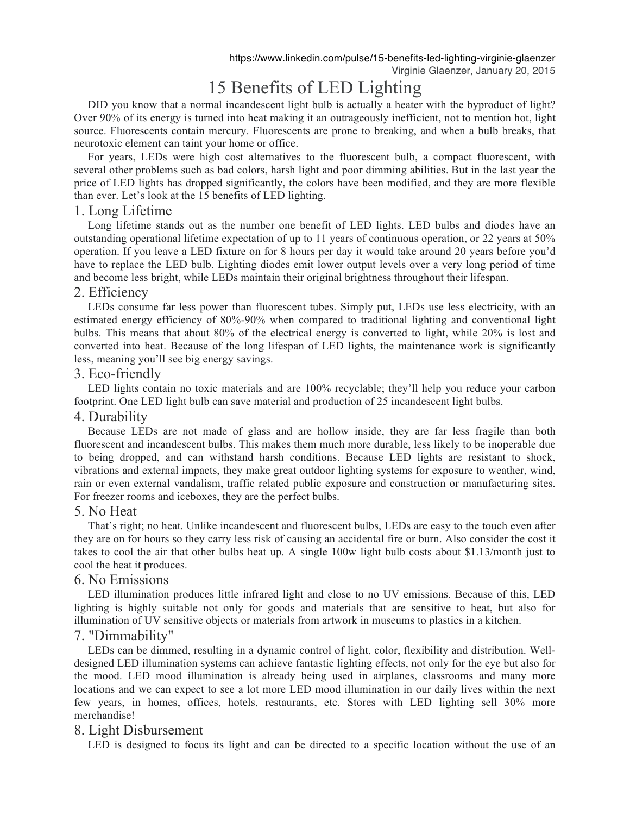# 15 Benefits of LED Lighting

DID you know that a normal incandescent light bulb is actually a heater with the byproduct of light? Over 90% of its energy is turned into heat making it an outrageously inefficient, not to mention hot, light source. Fluorescents contain mercury. Fluorescents are prone to breaking, and when a bulb breaks, that neurotoxic element can taint your home or office.

For years, LEDs were high cost alternatives to the fluorescent bulb, a compact fluorescent, with several other problems such as bad colors, harsh light and poor dimming abilities. But in the last year the price of LED lights has dropped significantly, the colors have been modified, and they are more flexible than ever. Let's look at the 15 benefits of LED lighting.

# 1. Long Lifetime

Long lifetime stands out as the number one benefit of LED lights. LED bulbs and diodes have an outstanding operational lifetime expectation of up to 11 years of continuous operation, or 22 years at 50% operation. If you leave a LED fixture on for 8 hours per day it would take around 20 years before you'd have to replace the LED bulb. Lighting diodes emit lower output levels over a very long period of time and become less bright, while LEDs maintain their original brightness throughout their lifespan.

# 2. Efficiency

LEDs consume far less power than fluorescent tubes. Simply put, LEDs use less electricity, with an estimated energy efficiency of 80%-90% when compared to traditional lighting and conventional light bulbs. This means that about 80% of the electrical energy is converted to light, while 20% is lost and converted into heat. Because of the long lifespan of LED lights, the maintenance work is significantly less, meaning you'll see big energy savings.

# 3. Eco-friendly

LED lights contain no toxic materials and are 100% recyclable; they'll help you reduce your carbon footprint. One LED light bulb can save material and production of 25 incandescent light bulbs.

## 4. Durability

Because LEDs are not made of glass and are hollow inside, they are far less fragile than both fluorescent and incandescent bulbs. This makes them much more durable, less likely to be inoperable due to being dropped, and can withstand harsh conditions. Because LED lights are resistant to shock, vibrations and external impacts, they make great outdoor lighting systems for exposure to weather, wind, rain or even external vandalism, traffic related public exposure and construction or manufacturing sites. For freezer rooms and iceboxes, they are the perfect bulbs.

## 5. No Heat

That's right; no heat. Unlike incandescent and fluorescent bulbs, LEDs are easy to the touch even after they are on for hours so they carry less risk of causing an accidental fire or burn. Also consider the cost it takes to cool the air that other bulbs heat up. A single 100w light bulb costs about \$1.13/month just to cool the heat it produces.

## 6. No Emissions

LED illumination produces little infrared light and close to no UV emissions. Because of this, LED lighting is highly suitable not only for goods and materials that are sensitive to heat, but also for illumination of UV sensitive objects or materials from artwork in museums to plastics in a kitchen.

## 7. "Dimmability"

LEDs can be dimmed, resulting in a dynamic control of light, color, flexibility and distribution. Welldesigned LED illumination systems can achieve fantastic lighting effects, not only for the eye but also for the mood. LED mood illumination is already being used in airplanes, classrooms and many more locations and we can expect to see a lot more LED mood illumination in our daily lives within the next few years, in homes, offices, hotels, restaurants, etc. Stores with LED lighting sell 30% more merchandise!

## 8. Light Disbursement

LED is designed to focus its light and can be directed to a specific location without the use of an